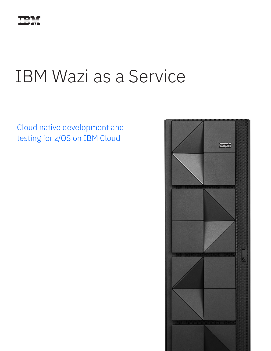

# IBM Wazi as a Service

Cloud native development and testing for z/OS on IBM Cloud

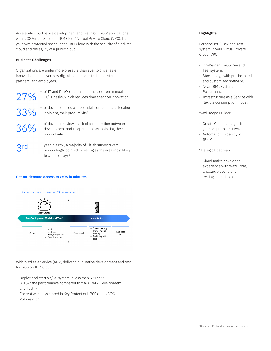Accelerate cloud native development and testing of z/OS<sup>®</sup> applications with z/OS Virtual Server in IBM Cloud® Virtual Private Cloud (VPC). It's your own protected space in the IBM Cloud with the security of a private cloud and the agility of a public cloud.

# **Business Challenges**

Organizations are under more pressure than ever to drive faster innovation and deliver new digital experiences to their customers, partners, and employees.

- 27% 33%
- of IT and DevOps teams' time is spent on manual  $CI/CD$  tasks, which reduces time spent on innovation<sup>1</sup>
- of developers see a lack of skills or resource allocation inhibiting their productivity<sup>2</sup>
- 36%

 $3rd$ 

- of developers view a lack of collaboration between development and IT operations as inhibiting their productivity2
- year in a row, a majority of Gitlab survey takers resoundingly pointed to testing as the area most likely to cause delays<sup>3</sup>

# **Get on-demand access to z/OS in minutes** testing capabilities.

#### Get on-demand access to z/OS in minutes



With Wazi as a Service (aaS), deliver cloud-native development and test for z/OS on IBM Cloud

- Deploy and start a z/OS system in less than 5 Mins\*.4
- 8-15x\* the performance compared to x86 (IBM Z Development and Test).<sup>5</sup>
- Encrypt with keys stored in Key Protect or HPCS during VPC VSI creation.

# **Highlights**

Personal z/OS Dev and Test system in your Virtual Private Cloud (VPC)

- On-Demand z/OS Dev and Test system.
- Stock image with pre-installed and customized software.
- Near IBM zSystems Performance.
- Infrastructure as a Service with flexible consumption model.

Wazi Image Builder

- Create Custom images from your on-premises LPAR.
- Automation to deploy in IBM Cloud.

Strategic Roadmap

• Cloud native developer experience with Wazi Code, analyze, pipeline and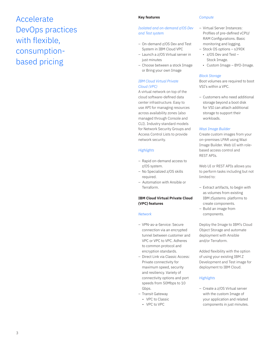# Accelerate DevOps practices with flexible, consumptionbased pricing

#### **Key features**

# *Isolated and on-demand z/OS Dev and Test system*

- On-demand z/OS Dev and Test System in IBM Cloud VPC
- Launch a z/OS Virtual server in just minutes
- Choose between a stock Image or Bring your own Image

# *IBM Cloud Virtual Private Cloud (VPC)*

A virtual network on top of the cloud software-defined data center infrastructure. Easy to use API for managing resources across availability zones (also managed through Console and CLI). Industry standard models for Network Security Groups and Access Control Lists to provide network security.

# *Highlights*

- Rapid on-demand access to z/OS system.
- No Specialized z/OS skills required.
- Automation with Ansible or Terraform.

# **IBM Cloud Virtual Private Cloud (VPC) features**

#### *Network*

- VPN-as-a-Service: Secure connection via an encrypted tunnel between customer and VPC or VPC to VPC. Adheres to common protocol and encryption standards.
- Direct Link via Classic Access: Private connectivity for maximum speed, security and resiliency. Variety of connectivity options and port speeds from 50Mbps to 10 Gbps.
- Transit Gateway
	- VPC to Classic
	- VPC to VPC

#### *Compute*

- Virtual Server Instances: Profiles of pre-defined vCPU/ RAM Configurations. Basic monitoring and logging. – Stock OS options – s390X
	- z/OS Dev and Test Stock Image.
	- Custom Image BYO-Image.

#### *Block Storage*

Boot volumes are required to boot VSI's within a VPC.

– Customers who need additional storage beyond a boot disk for VSI can attach additional storage to support their workloads.

#### *Wazi Image Builder*

Create custom images from your on-premises LPAR using Wazi Image Builder. Web UI with rolebased access control and REST APIs.

Web UI or REST APIs allows you to perform tasks including but not limited to:

- Extract artifacts, to begin with as volumes from existing IBM zSystems platforms to create components.
- Build an image from components.

Deploy the Image to IBM's Cloud Object Storage and automate deployment with Ansible and/or Terraform.

Added flexibility with the option of using your existing IBM Z Development and Test image for deployment to IBM Cloud.

# *Highlights*

– Create a z/OS Virtual server with the custom Image of your application and related components in just minutes.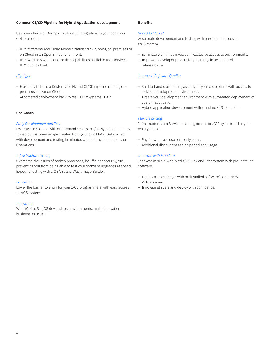#### **Common CI/CD Pipeline for Hybrid Application development**

Use your choice of DevOps solutions to integrate with your common CI/CD pipeline.

- IBM zSystems And Cloud Modernization stack running on-premises or on Cloud in an OpenShift environment.
- IBM Wazi aaS with cloud-native capabilities available as a service in IBM public cloud.

#### *Highlights*

- Flexibility to build a Custom and Hybrid CI/CD pipeline running onpremises and/or on Cloud.
- Automated deployment back to real IBM zSystems LPAR.

# **Use Cases**

#### *Early Development and Test*

Leverage IBM Cloud with on-demand access to z/OS system and ability to deploy customer image created from your own LPAR. Get started with development and testing in minutes without any dependency on Operations.

#### *Infrastructure Testing*

Overcome the issues of broken processes, insufficient security, etc. preventing you from being able to test your software upgrades at speed. Expedite testing with z/OS VSI and Wazi Image Builder.

#### *Education*

Lower the barrier to entry for your z/OS programmers with easy access to z/OS system.

#### *Innovation*

With Wazi aaS, z/OS dev and test environments, make innovation business as usual.

# **Benefits**

#### *Speed to Market*

Accelerate development and testing with on-demand access to z/OS system.

- Eliminate wait times involved in exclusive access to environments.
- Improved developer productivity resulting in accelerated release cycle.

#### *Improved Software Quality*

- Shift left and start testing as early as your code phase with access to isolated development environment.
- Create your development environment with automated deployment of custom application.
- Hybrid application development with standard CI/CD pipeline.

#### *Flexible pricing*

Infrastructure as a Service enabling access to z/OS system and pay for what you use.

- Pay for what you use on hourly basis.
- Additional discount based on period and usage.

#### *Innovate with Freedom*

Innovate at scale with Wazi z/OS Dev and Test system with pre-installed software.

- Deploy a stock image with preinstalled software's onto z/OS Virtual server.
- Innovate at scale and deploy with confidence.